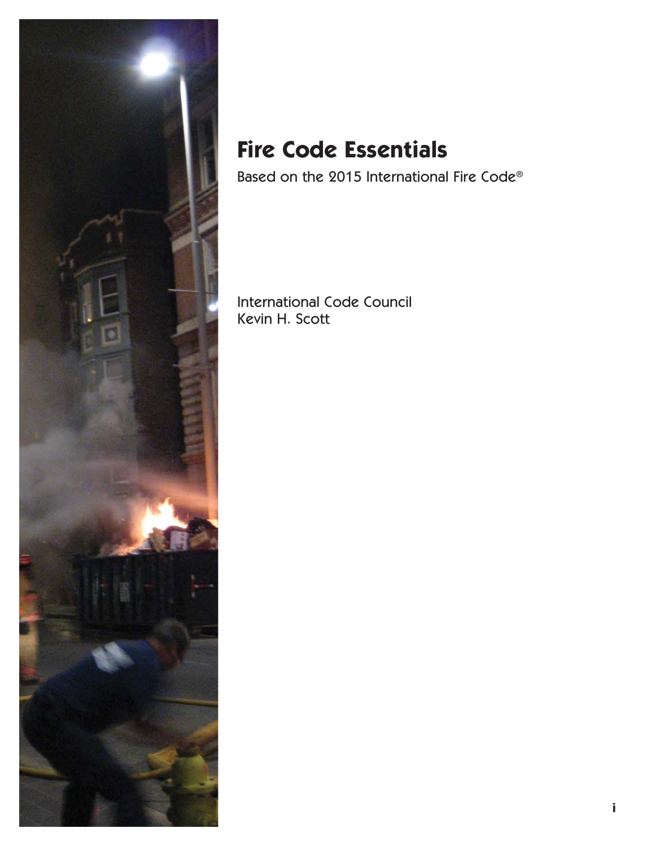

# **Fire Code Essentials**

Based on the 2015 International Fire Code®

International Code Council Kevin H. Scott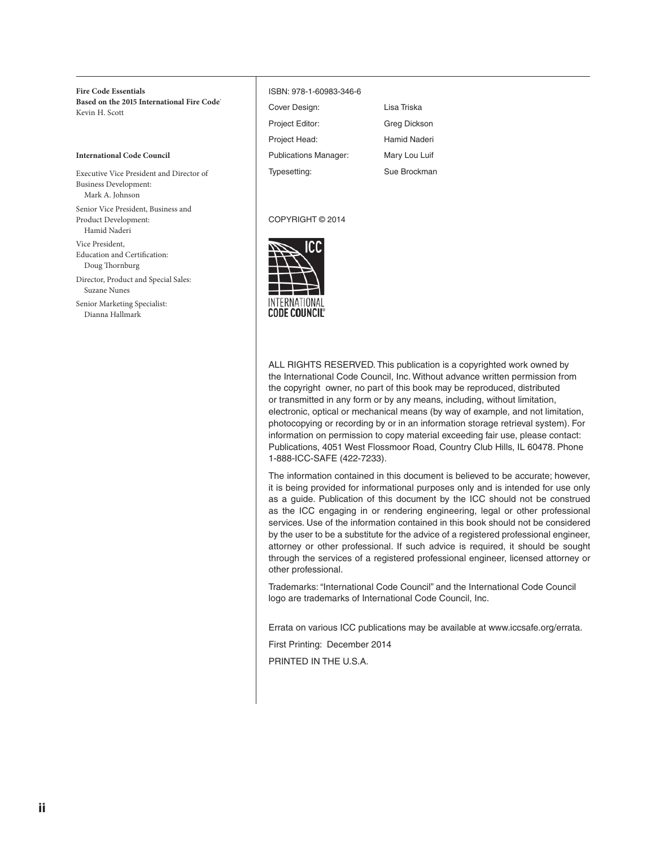**Fire Code Essentials**  Based on the 2015 International Fire Code<sup>®</sup> Kevin H. Scott

#### **International Code Council**

Executive Vice President and Director of Business Development: Mark A. Johnson Senior Vice President, Business and Product Development: Hamid Naderi Vice President, Education and Certification: Doug Thornburg Director, Product and Special Sales: Suzane Nunes Senior Marketing Specialist: Dianna Hallmark

ISBN: 978-1-60983-346-6 Cover Design: Lisa Triska Project Editor: Greg Dickson Project Head: Hamid Naderi Publications Manager: Mary Lou Luif Typesetting: Sue Brockman

COPYRIGHT © 2014



ALL RIGHTS RESERVED. This publication is a copyrighted work owned by the International Code Council, Inc. Without advance written permission from the copyright owner, no part of this book may be reproduced, distributed or transmitted in any form or by any means, including, without limitation, electronic, optical or mechanical means (by way of example, and not limitation, photocopying or recording by or in an information storage retrieval system). For information on permission to copy material exceeding fair use, please contact: Publications, 4051 West Flossmoor Road, Country Club Hills, IL 60478. Phone 1-888-ICC-SAFE (422-7233).

The information contained in this document is believed to be accurate; however, it is being provided for informational purposes only and is intended for use only as a guide. Publication of this document by the ICC should not be construed as the ICC engaging in or rendering engineering, legal or other professional services. Use of the information contained in this book should not be considered by the user to be a substitute for the advice of a registered professional engineer, attorney or other professional. If such advice is required, it should be sought through the services of a registered professional engineer, licensed attorney or other professional.

Trademarks: "International Code Council" and the International Code Council logo are trademarks of International Code Council, Inc.

Errata on various ICC publications may be available at www.iccsafe.org/errata.

First Printing: December 2014

PRINTED IN THE U.S.A.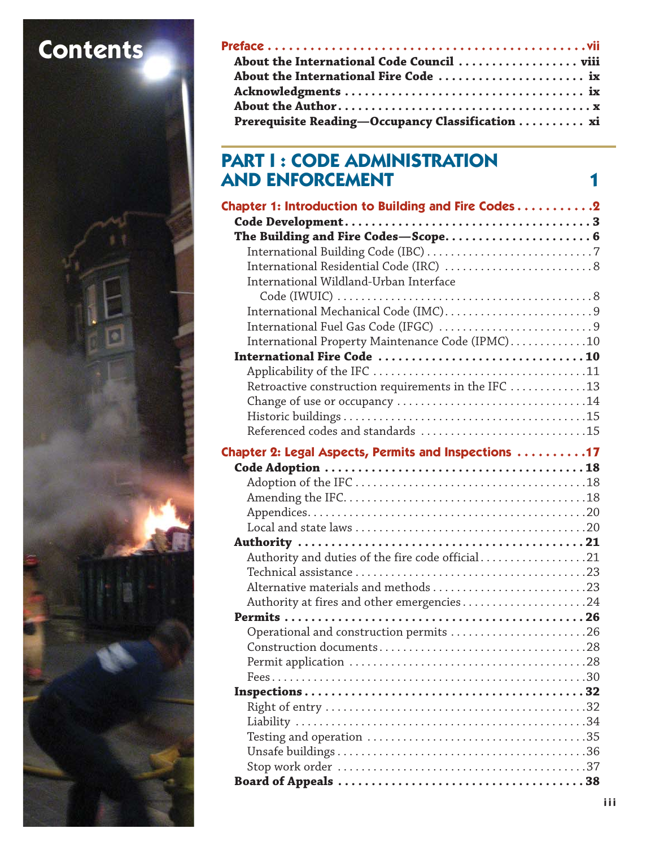

### **PART I : CODE ADMINISTRATION AND ENFORCEMENT 1**

| Chapter 1: Introduction to Building and Fire Codes2  |  |
|------------------------------------------------------|--|
|                                                      |  |
|                                                      |  |
|                                                      |  |
| International Residential Code (IRC) 8               |  |
| International Wildland-Urban Interface               |  |
| International Mechanical Code (IMC)9                 |  |
| International Fuel Gas Code (IFGC) 9                 |  |
| International Property Maintenance Code (IPMC)10     |  |
|                                                      |  |
|                                                      |  |
| Retroactive construction requirements in the IFC 13  |  |
|                                                      |  |
|                                                      |  |
| Referenced codes and standards 15                    |  |
|                                                      |  |
| Chapter 2: Legal Aspects, Permits and Inspections 17 |  |
|                                                      |  |
|                                                      |  |
|                                                      |  |
|                                                      |  |
|                                                      |  |
| Authority and duties of the fire code official21     |  |
|                                                      |  |
| Alternative materials and methods 23                 |  |
| Authority at fires and other emergencies24           |  |
|                                                      |  |
| Operational and construction permits 26              |  |
|                                                      |  |
|                                                      |  |
|                                                      |  |
|                                                      |  |
|                                                      |  |
|                                                      |  |
|                                                      |  |
|                                                      |  |
|                                                      |  |
|                                                      |  |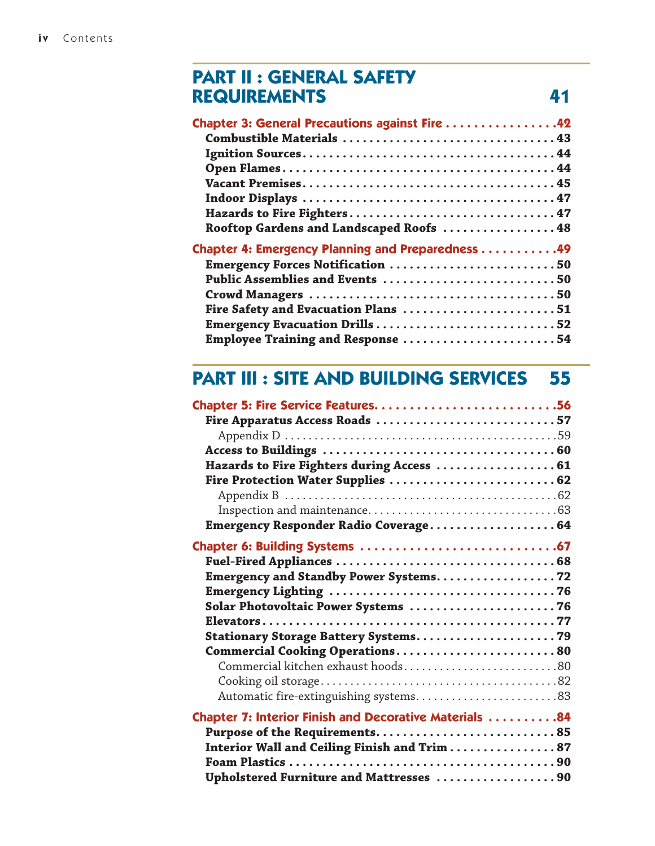### **PART II : GENERAL SAFETY REQUIREMENTS 41**

| <b>Chapter 3: General Precautions against Fire 42</b>    |
|----------------------------------------------------------|
| Combustible Materials  43                                |
|                                                          |
|                                                          |
|                                                          |
|                                                          |
|                                                          |
| Rooftop Gardens and Landscaped Roofs  48                 |
| <b>Chapter 4: Emergency Planning and Preparedness 49</b> |
| Emergency Forces Notification 50                         |
| Public Assemblies and Events 50                          |
|                                                          |
| Fire Safety and Evacuation Plans 51                      |
| Emergency Evacuation Drills 52                           |
| Employee Training and Response 54                        |
|                                                          |

## **PART III : SITE AND BUILDING SERVICES 55**

| Fire Apparatus Access Roads 57                                |  |
|---------------------------------------------------------------|--|
|                                                               |  |
| Hazards to Fire Fighters during Access  61                    |  |
| Fire Protection Water Supplies 62                             |  |
|                                                               |  |
|                                                               |  |
| Emergency Responder Radio Coverage64                          |  |
|                                                               |  |
|                                                               |  |
|                                                               |  |
|                                                               |  |
|                                                               |  |
| Solar Photovoltaic Power Systems  76                          |  |
|                                                               |  |
|                                                               |  |
| Commercial Cooking Operations80                               |  |
| Commercial kitchen exhaust hoods80                            |  |
|                                                               |  |
|                                                               |  |
| <b>Chapter 7: Interior Finish and Decorative Materials 84</b> |  |
|                                                               |  |
| Interior Wall and Ceiling Finish and Trim87                   |  |
|                                                               |  |
| Upholstered Furniture and Mattresses 90                       |  |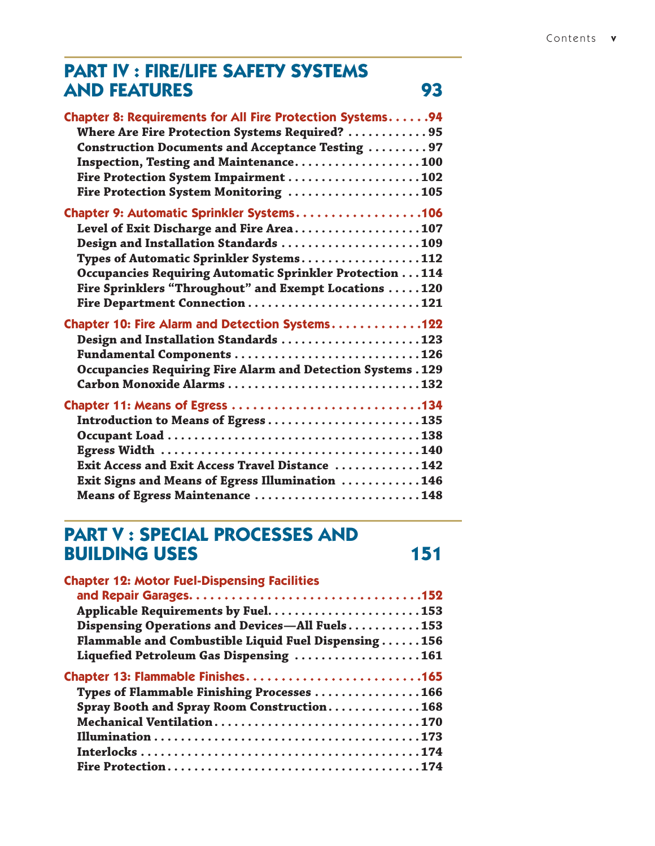### **PART IV : FIRE/LIFE SAFETY SYSTEMS AND FEATURES 93**

| Chapter 8: Requirements for All Fire Protection Systems94<br>Where Are Fire Protection Systems Required? 95<br>Construction Documents and Acceptance Testing 97<br>Inspection, Testing and Maintenance100<br>Fire Protection System Impairment 102<br>Fire Protection System Monitoring 105                                      |  |
|----------------------------------------------------------------------------------------------------------------------------------------------------------------------------------------------------------------------------------------------------------------------------------------------------------------------------------|--|
| Chapter 9: Automatic Sprinkler Systems106<br>Level of Exit Discharge and Fire Area107<br>Design and Installation Standards 109<br>Types of Automatic Sprinkler Systems112<br>Occupancies Requiring Automatic Sprinkler Protection 114<br>Fire Sprinklers "Throughout" and Exempt Locations 120<br>Fire Department Connection 121 |  |
| Chapter 10: Fire Alarm and Detection Systems122<br>Design and Installation Standards 123<br>Fundamental Components 126<br><b>Occupancies Requiring Fire Alarm and Detection Systems. 129</b><br>Carbon Monoxide Alarms 132                                                                                                       |  |
| Chapter 11: Means of Egress 134<br>Introduction to Means of Egress135<br>Exit Access and Exit Access Travel Distance  142<br>Exit Signs and Means of Egress Illumination 146<br>Means of Egress Maintenance 148                                                                                                                  |  |
|                                                                                                                                                                                                                                                                                                                                  |  |

### **PART V : SPECIAL PROCESSES AND BUILDING USES** 151

| <b>Chapter 12: Motor Fuel-Dispensing Facilities</b>   |  |
|-------------------------------------------------------|--|
|                                                       |  |
|                                                       |  |
| Dispensing Operations and Devices-All Fuels153        |  |
| Flammable and Combustible Liquid Fuel Dispensing  156 |  |
| Liquefied Petroleum Gas Dispensing 161                |  |
|                                                       |  |
| Types of Flammable Finishing Processes 166            |  |
| Spray Booth and Spray Room Construction168            |  |
| Mechanical Ventilation170                             |  |
|                                                       |  |
|                                                       |  |
|                                                       |  |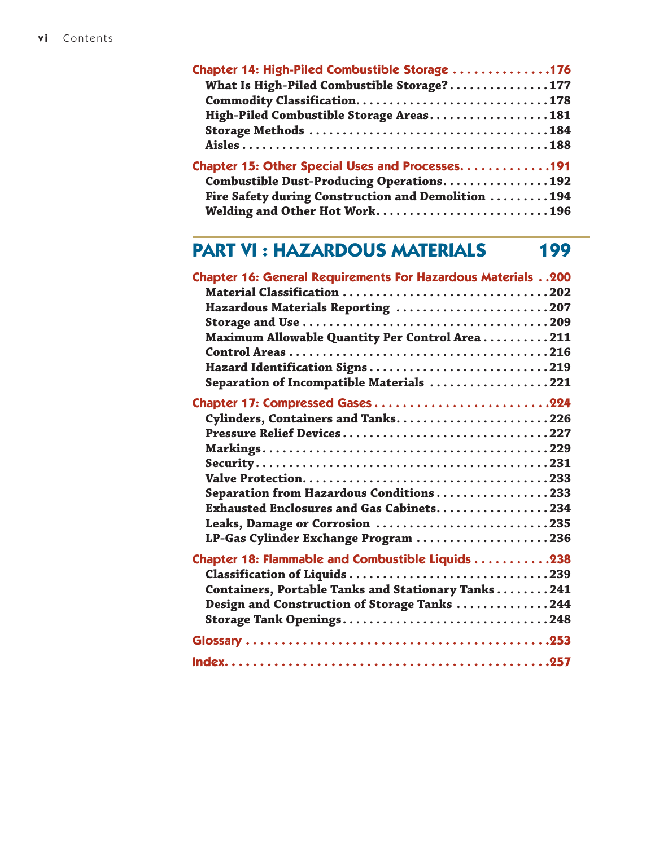| Chapter 14: High-Piled Combustible Storage 176      |  |
|-----------------------------------------------------|--|
| What Is High-Piled Combustible Storage?177          |  |
|                                                     |  |
| High-Piled Combustible Storage Areas181             |  |
|                                                     |  |
|                                                     |  |
| Chapter 15: Other Special Uses and Processes. 191   |  |
| Combustible Dust-Producing Operations192            |  |
| Fire Safety during Construction and Demolition  194 |  |
| Welding and Other Hot Work196                       |  |

# **PART VI : HAZARDOUS MATERIALS** 199

| Chapter 16: General Requirements For Hazardous Materials 200<br>Material Classification 202<br>Hazardous Materials Reporting 207<br>Maximum Allowable Quantity Per Control Area211<br>Hazard Identification Signs219<br>Separation of Incompatible Materials 221 |
|------------------------------------------------------------------------------------------------------------------------------------------------------------------------------------------------------------------------------------------------------------------|
| Chapter 17: Compressed Gases224                                                                                                                                                                                                                                  |
| Cylinders, Containers and Tanks226                                                                                                                                                                                                                               |
| Pressure Relief Devices227                                                                                                                                                                                                                                       |
|                                                                                                                                                                                                                                                                  |
|                                                                                                                                                                                                                                                                  |
|                                                                                                                                                                                                                                                                  |
| Separation from Hazardous Conditions233                                                                                                                                                                                                                          |
| Exhausted Enclosures and Gas Cabinets234                                                                                                                                                                                                                         |
| Leaks, Damage or Corrosion 235                                                                                                                                                                                                                                   |
| LP-Gas Cylinder Exchange Program 236                                                                                                                                                                                                                             |
| Chapter 18: Flammable and Combustible Liquids 238                                                                                                                                                                                                                |
| Classification of Liquids 239                                                                                                                                                                                                                                    |
| Containers, Portable Tanks and Stationary Tanks241                                                                                                                                                                                                               |
| Design and Construction of Storage Tanks 244                                                                                                                                                                                                                     |
| Storage Tank Openings248                                                                                                                                                                                                                                         |
|                                                                                                                                                                                                                                                                  |
|                                                                                                                                                                                                                                                                  |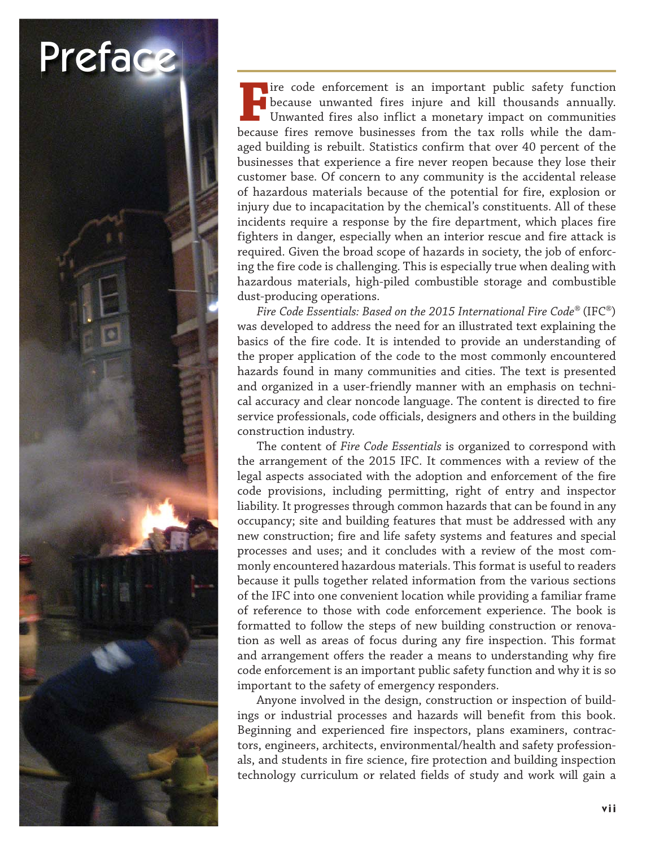

Fire code enforcement is an important public safety function because unwanted fires injure and kill thousands annually. Unwanted fires also inflict a monetary impact on communities because fires remove businesses from the tax rolls while the damaged building is rebuilt. Statistics confirm that over 40 percent of the businesses that experience a fire never reopen because they lose their customer base. Of concern to any community is the accidental release of hazardous materials because of the potential for fire, explosion or injury due to incapacitation by the chemical's constituents. All of these incidents require a response by the fire department, which places fire fighters in danger, especially when an interior rescue and fire attack is required. Given the broad scope of hazards in society, the job of enforcing the fire code is challenging. This is especially true when dealing with hazardous materials, high-piled combustible storage and combustible dust-producing operations.

*Fire Code Essentials: Based on the 2015 International Fire Code*<sup>®</sup> (IFC<sup>®</sup>) was developed to address the need for an illustrated text explaining the basics of the fire code. It is intended to provide an understanding of the proper application of the code to the most commonly encountered hazards found in many communities and cities. The text is presented and organized in a user-friendly manner with an emphasis on technical accuracy and clear noncode language. The content is directed to fire service professionals, code officials, designers and others in the building construction industry.

The content of *Fire Code Essentials* is organized to correspond with the arrangement of the 2015 IFC. It commences with a review of the legal aspects associated with the adoption and enforcement of the fire code provisions, including permitting, right of entry and inspector liability. It progresses through common hazards that can be found in any occupancy; site and building features that must be addressed with any new construction; fire and life safety systems and features and special processes and uses; and it concludes with a review of the most commonly encountered hazardous materials. This format is useful to readers because it pulls together related information from the various sections of the IFC into one convenient location while providing a familiar frame of reference to those with code enforcement experience. The book is formatted to follow the steps of new building construction or renovation as well as areas of focus during any fire inspection. This format and arrangement offers the reader a means to understanding why fire code enforcement is an important public safety function and why it is so important to the safety of emergency responders.

Anyone involved in the design, construction or inspection of buildings or industrial processes and hazards will benefit from this book. Beginning and experienced fire inspectors, plans examiners, contractors, engineers, architects, environmental/health and safety professionals, and students in fire science, fire protection and building inspection technology curriculum or related fields of study and work will gain a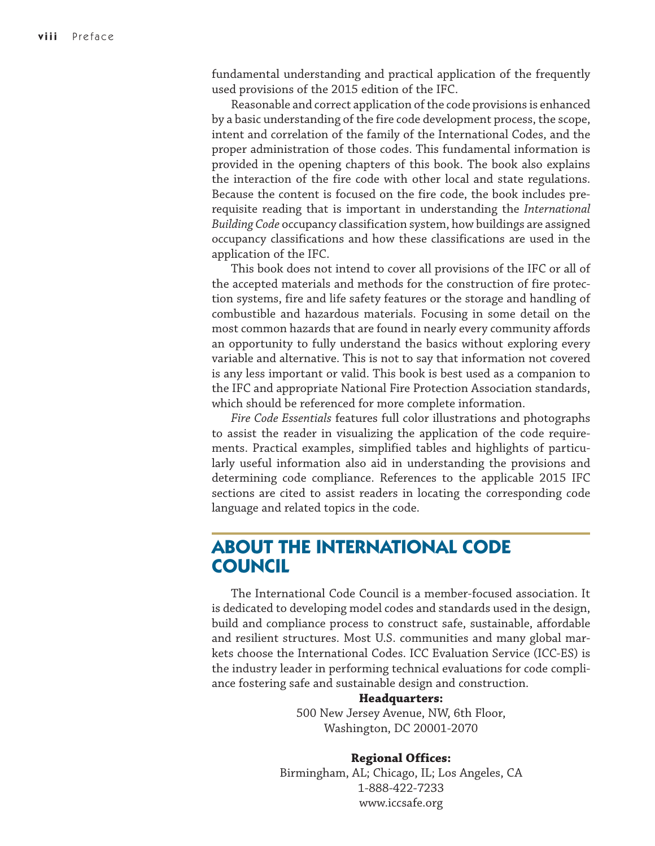fundamental understanding and practical application of the frequently used provisions of the 2015 edition of the IFC.

Reasonable and correct application of the code provisions is enhanced by a basic understanding of the fire code development process, the scope, intent and correlation of the family of the International Codes, and the proper administration of those codes. This fundamental information is provided in the opening chapters of this book. The book also explains the interaction of the fire code with other local and state regulations. Because the content is focused on the fire code, the book includes prerequisite reading that is important in understanding the *International Building Code* occupancy classification system, how buildings are assigned occupancy classifications and how these classifications are used in the application of the IFC.

This book does not intend to cover all provisions of the IFC or all of the accepted materials and methods for the construction of fire protection systems, fire and life safety features or the storage and handling of combustible and hazardous materials. Focusing in some detail on the most common hazards that are found in nearly every community affords an opportunity to fully understand the basics without exploring every variable and alternative. This is not to say that information not covered is any less important or valid. This book is best used as a companion to the IFC and appropriate National Fire Protection Association standards, which should be referenced for more complete information.

*Fire Code Essentials* features full color illustrations and photographs to assist the reader in visualizing the application of the code requirements. Practical examples, simplified tables and highlights of particularly useful information also aid in understanding the provisions and determining code compliance. References to the applicable 2015 IFC sections are cited to assist readers in locating the corresponding code language and related topics in the code.

### **ABOUT THE INTERNATIONAL CODE COUNCIL**

The International Code Council is a member-focused association. It is dedicated to developing model codes and standards used in the design, build and compliance process to construct safe, sustainable, affordable and resilient structures. Most U.S. communities and many global markets choose the International Codes. ICC Evaluation Service (ICC-ES) is the industry leader in performing technical evaluations for code compliance fostering safe and sustainable design and construction.

#### **Headquarters:**

500 New Jersey Avenue, NW, 6th Floor, Washington, DC 20001-2070

#### **Regional Offices:**

Birmingham, AL; Chicago, IL; Los Angeles, CA 1-888-422-7233 www.iccsafe.org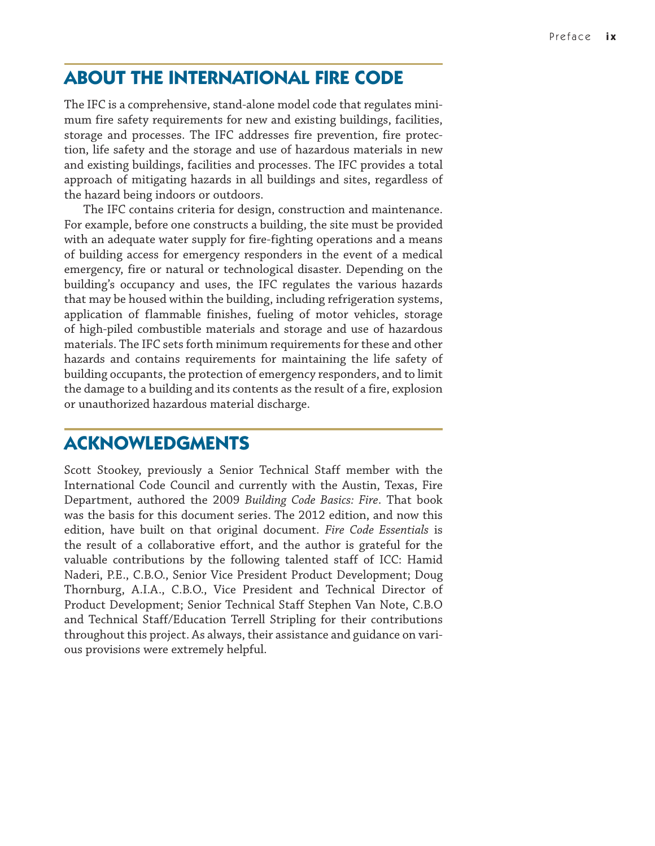### **ABOUT THE INTERNATIONAL FIRE CODE**

The IFC is a comprehensive, stand-alone model code that regulates minimum fire safety requirements for new and existing buildings, facilities, storage and processes. The IFC addresses fire prevention, fire protection, life safety and the storage and use of hazardous materials in new and existing buildings, facilities and processes. The IFC provides a total approach of mitigating hazards in all buildings and sites, regardless of the hazard being indoors or outdoors.

The IFC contains criteria for design, construction and maintenance. For example, before one constructs a building, the site must be provided with an adequate water supply for fire-fighting operations and a means of building access for emergency responders in the event of a medical emergency, fire or natural or technological disaster. Depending on the building's occupancy and uses, the IFC regulates the various hazards that may be housed within the building, including refrigeration systems, application of flammable finishes, fueling of motor vehicles, storage of high-piled combustible materials and storage and use of hazardous materials. The IFC sets forth minimum requirements for these and other hazards and contains requirements for maintaining the life safety of building occupants, the protection of emergency responders, and to limit the damage to a building and its contents as the result of a fire, explosion or unauthorized hazardous material discharge.

### **ACKNOWLEDGMENTS**

Scott Stookey, previously a Senior Technical Staff member with the International Code Council and currently with the Austin, Texas, Fire Department, authored the 2009 *Building Code Basics: Fire*. That book was the basis for this document series. The 2012 edition, and now this edition, have built on that original document. *Fire Code Essentials* is the result of a collaborative effort, and the author is grateful for the valuable contributions by the following talented staff of ICC: Hamid Naderi, P.E., C.B.O., Senior Vice President Product Development; Doug Thornburg, A.I.A., C.B.O., Vice President and Technical Director of Product Development; Senior Technical Staff Stephen Van Note, C.B.O and Technical Staff/Education Terrell Stripling for their contributions throughout this project. As always, their assistance and guidance on various provisions were extremely helpful.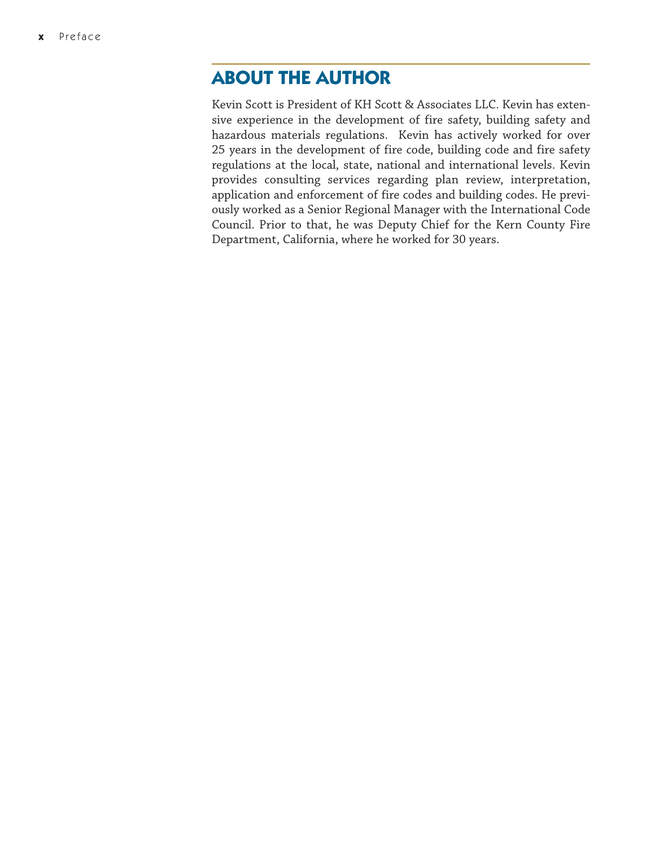### **ABOUT THE AUTHOR**

Kevin Scott is President of KH Scott & Associates LLC. Kevin has extensive experience in the development of fire safety, building safety and hazardous materials regulations. Kevin has actively worked for over 25 years in the development of fire code, building code and fire safety regulations at the local, state, national and international levels. Kevin provides consulting services regarding plan review, interpretation, application and enforcement of fire codes and building codes. He previously worked as a Senior Regional Manager with the International Code Council. Prior to that, he was Deputy Chief for the Kern County Fire Department, California, where he worked for 30 years.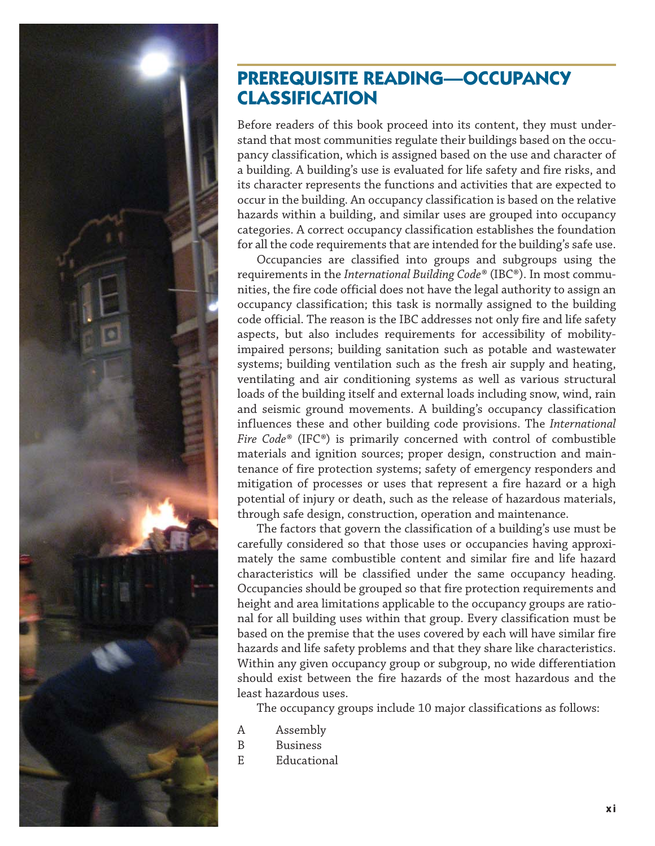### **PREREQUISITE READING—OCCUPANCY CLASSIFICATION**

Before readers of this book proceed into its content, they must understand that most communities regulate their buildings based on the occupancy classification, which is assigned based on the use and character of a building. A building's use is evaluated for life safety and fire risks, and its character represents the functions and activities that are expected to occur in the building. An occupancy classification is based on the relative hazards within a building, and similar uses are grouped into occupancy categories. A correct occupancy classification establishes the foundation for all the code requirements that are intended for the building's safe use.

Occupancies are classified into groups and subgroups using the requirements in the *International Building Code®* (IBC®). In most communities, the fire code official does not have the legal authority to assign an occupancy classification; this task is normally assigned to the building code official. The reason is the IBC addresses not only fire and life safety aspects, but also includes requirements for accessibility of mobilityimpaired persons; building sanitation such as potable and wastewater systems; building ventilation such as the fresh air supply and heating, ventilating and air conditioning systems as well as various structural loads of the building itself and external loads including snow, wind, rain and seismic ground movements. A building's occupancy classification influences these and other building code provisions. The *International Fire Code®* (IFC*®*) is primarily concerned with control of combustible materials and ignition sources; proper design, construction and maintenance of fire protection systems; safety of emergency responders and mitigation of processes or uses that represent a fire hazard or a high potential of injury or death, such as the release of hazardous materials, through safe design, construction, operation and maintenance.

The factors that govern the classification of a building's use must be carefully considered so that those uses or occupancies having approximately the same combustible content and similar fire and life hazard characteristics will be classified under the same occupancy heading. Occupancies should be grouped so that fire protection requirements and height and area limitations applicable to the occupancy groups are rational for all building uses within that group. Every classification must be based on the premise that the uses covered by each will have similar fire hazards and life safety problems and that they share like characteristics. Within any given occupancy group or subgroup, no wide differentiation should exist between the fire hazards of the most hazardous and the least hazardous uses.

The occupancy groups include 10 major classifications as follows:

- A Assembly
- B Business
- E Educational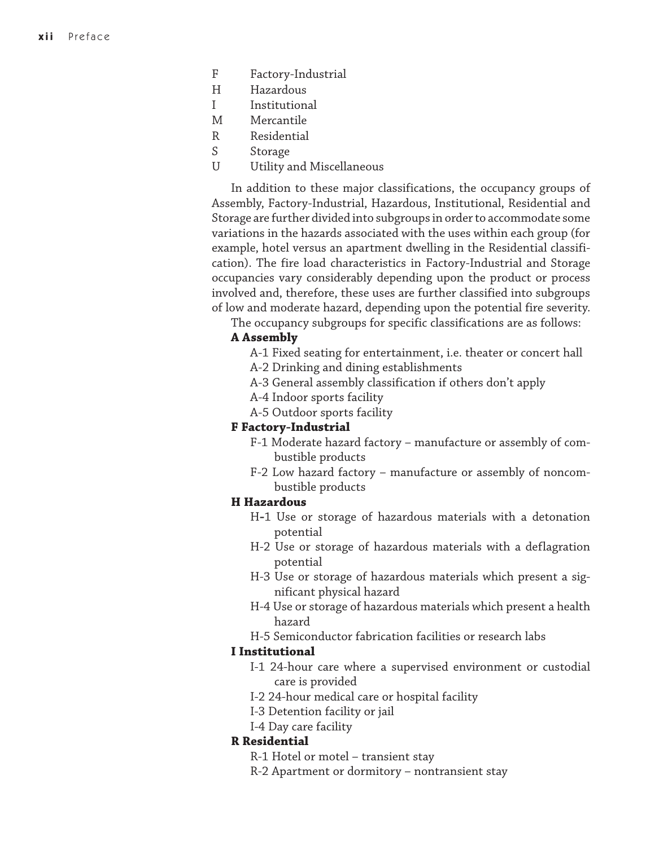- F Factory-Industrial
- H Hazardous
- I Institutional
- M Mercantile
- R Residential
- S Storage
- U Utility and Miscellaneous

In addition to these major classifications, the occupancy groups of Assembly, Factory-Industrial, Hazardous, Institutional, Residential and Storage are further divided into subgroups in order to accommodate some variations in the hazards associated with the uses within each group (for example, hotel versus an apartment dwelling in the Residential classification). The fire load characteristics in Factory-Industrial and Storage occupancies vary considerably depending upon the product or process involved and, therefore, these uses are further classified into subgroups of low and moderate hazard, depending upon the potential fire severity.

The occupancy subgroups for specific classifications are as follows:

#### **A Assembly**

- A-1 Fixed seating for entertainment, i.e. theater or concert hall
- A-2 Drinking and dining establishments
- A-3 General assembly classification if others don't apply
- A-4 Indoor sports facility
- A-5 Outdoor sports facility

#### **F Factory-Industrial**

- F-1 Moderate hazard factory manufacture or assembly of combustible products
- F-2 Low hazard factory manufacture or assembly of noncombustible products

#### **H Hazardous**

- H**-**1 Use or storage of hazardous materials with a detonation potential
- H-2 Use or storage of hazardous materials with a deflagration potential
- H-3 Use or storage of hazardous materials which present a significant physical hazard
- H-4 Use or storage of hazardous materials which present a health hazard
- H-5 Semiconductor fabrication facilities or research labs

#### **I Institutional**

- I-1 24-hour care where a supervised environment or custodial care is provided
- I-2 24-hour medical care or hospital facility
- I-3 Detention facility or jail
- I-4 Day care facility

#### **R Residential**

- R-1 Hotel or motel transient stay
- R-2 Apartment or dormitory nontransient stay